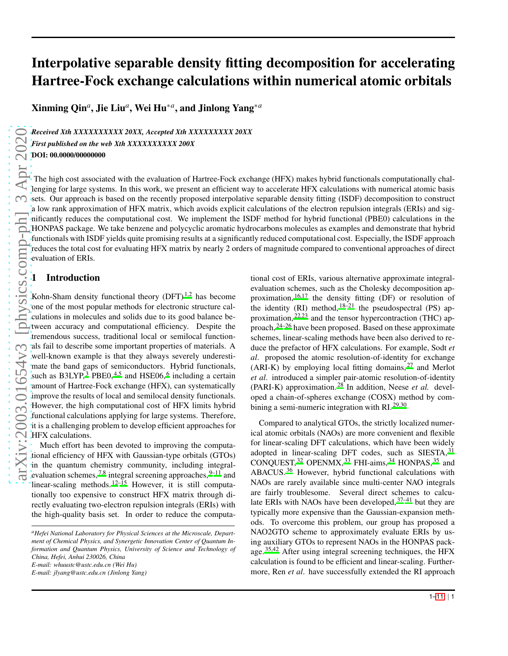# Interpolative separable density fitting decomposition for accelerating Hartree-Fock exchange calculations within numerical atomic orbitals

Xinming Qin*<sup>a</sup>* , Jie Liu*<sup>a</sup>* , Wei Hu∗*<sup>a</sup>* , and Jinlong Yang∗*<sup>a</sup>*

*Received Xth XXXXXXXXXX 20XX, Accepted Xth XXXXXXXXX 20XX First published on the web Xth XXXXXXXXXX 200X* DOI: 00.0000/000000000

The high cost associated with the evaluation of Hartree-Fock exchange (HFX) makes hybrid functionals computationally challenging for large systems. In this work, we present an efficient way to accelerate HFX calculations with numerical atomic basis sets. Our approach is based on the recently proposed interpolative separable density fitting (ISDF) decomposition to construct a low rank approximation of HFX matrix, which avoids explicit calculations of the electron repulsion integrals (ERIs) and significantly reduces the computational cost. We implement the ISDF method for hybrid functional (PBE0) calculations in the HONPAS package. We take benzene and polycyclic aromatic hydrocarbons molecules as examples and demonstrate that hybrid functionals with ISDF yields quite promising results at a significantly reduced computational cost. Especially, the ISDF approach reduces the total cost for evaluating HFX matrix by nearly 2 orders of magnitude compared to conventional approaches of direct evaluation of ERIs.

# 1 Introduction

Kohn-Sham density functional theory  $(DFT)^{1,2}$  $(DFT)^{1,2}$  $(DFT)^{1,2}$  $(DFT)^{1,2}$  has become one of the most popular methods for electronic structure calculations in molecules and solids due to its good balance between accuracy and computational efficiency. Despite the tremendous success, traditional local or semilocal functionals fail to describe some important properties of materials. A well-known example is that they always severely underestimate the band gaps of semiconductors. Hybrid functionals, such as  $B3LYP<sup>3</sup>$  $B3LYP<sup>3</sup>$  $B3LYP<sup>3</sup>$  PBE0,<sup>[4](#page-9-0)[,5](#page-9-1)</sup> and HSE0[6](#page-9-2),<sup>6</sup> including a certain amount of Hartree-Fock exchange (HFX), can systematically improve the results of local and semilocal density functionals. However, the high computational cost of HFX limits hybrid functional calculations applying for large systems. Therefore, it is a challenging problem to develop efficient approaches for HFX calculations.

Much effort has been devoted to improving the computational efficiency of HFX with Gaussian-type orbitals (GTOs) in the quantum chemistry community, including integralevaluation schemes,  $^{7,8}$  $^{7,8}$  $^{7,8}$  $^{7,8}$  integral screening approaches,  $^{9-11}$  $^{9-11}$  $^{9-11}$  and linear-scaling methods.  $12-15$  $12-15$  However, it is still computationally too expensive to construct HFX matrix through directly evaluating two-electron repulsion integrals (ERIs) with the high-quality basis set. In order to reduce the computa-

*E-mail: whuustc@ustc.edu.cn (Wei Hu)*

*E-mail: jlyang@ustc.edu.cn (Jinlong Yang)*

tional cost of ERIs, various alternative approximate integralevaluation schemes, such as the Cholesky decomposition approximation,  $16,17$  $16,17$  the density fitting (DF) or resolution of the identity (RI) method,  $18-21$  $18-21$  the pseudospectral (PS) approximation,  $22,23$  $22,23$  and the tensor hypercontraction (THC) approach, [24](#page-9-15)[–26](#page-9-16) have been proposed. Based on these approximate schemes, linear-scaling methods have been also derived to reduce the prefactor of HFX calculations. For example, Sodt *et al*. proposed the atomic resolution-of-identity for exchange (ARI-K) by employing local fitting domains,  $27$  and Merlot *et al*. introduced a simpler pair-atomic resolution-of-identity (PARI-K) approximation. [28](#page-9-18) In addition, Neese *et al.* developed a chain-of-spheres exchange (COSX) method by com-bining a semi-numeric integration with RI.<sup>[29](#page-9-19)[,30](#page-9-20)</sup>

Compared to analytical GTOs, the strictly localized numerical atomic orbitals (NAOs) are more convenient and flexible for linear-scaling DFT calculations, which have been widely adopted in linear-scaling DFT codes, such as SIESTA, <sup>[31](#page-9-21)</sup> CONQUEST, [32](#page-9-22) OPENMX, [33](#page-9-23) FHI-aims, [34](#page-9-24) HONPAS, [35](#page-9-25) and ABACUS. [36](#page-9-26) However, hybrid functional calculations with NAOs are rarely available since multi-center NAO integrals are fairly troublesome. Several direct schemes to calculate ERIs with NAOs have been developed,  $37-41$  $37-41$  but they are typically more expensive than the Gaussian-expansion methods. To overcome this problem, our group has proposed a NAO2GTO scheme to approximately evaluate ERIs by using auxiliary GTOs to represent NAOs in the HONPAS package. [35](#page-9-25)[,42](#page-9-29) After using integral screening techniques, the HFX calculation is found to be efficient and linear-scaling. Furthermore, Ren *et al*. have successfully extended the RI approach

*<sup>a</sup>Hefei National Laboratory for Physical Sciences at the Microscale, Department of Chemical Physics, and Synergetic Innovation Center of Quantum Information and Quantum Physics, University of Science and Technology of China, Hefei, Anhui 230026, China*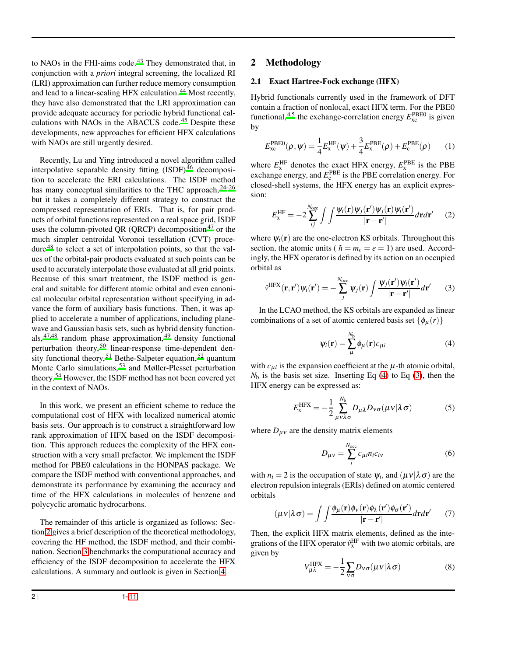to NAOs in the FHI-aims code.<sup>[43](#page-9-30)</sup> They demonstrated that, in conjunction with a *priori* integral screening, the localized RI (LRI) approximation can further reduce memory consumption and lead to a linear-scaling HFX calculation. [44](#page-9-31) Most recently, they have also demonstrated that the LRI approximation can provide adequate accuracy for periodic hybrid functional calculations with NAOs in the ABACUS code. [45](#page-9-32) Despite these developments, new approaches for efficient HFX calculations with NAOs are still urgently desired.

Recently, Lu and Ying introduced a novel algorithm called interpolative separable density fitting  $(ISDF)^{46}$  $(ISDF)^{46}$  $(ISDF)^{46}$  decomposition to accelerate the ERI calculations. The ISDF method has many conceptual similarities to the THC approach,  $24-26$  $24-26$ but it takes a completely different strategy to construct the compressed representation of ERIs. That is, for pair products of orbital functions represented on a real space grid, ISDF uses the column-pivoted QR (QRCP) decomposition<sup>[47](#page-9-34)</sup> or the much simpler centroidal Voronoi tessellation (CVT) procedure [48](#page-9-35) to select a set of interpolation points, so that the values of the orbital-pair products evaluated at such points can be used to accurately interpolate those evaluated at all grid points. Because of this smart treatment, the ISDF method is general and suitable for different atomic orbital and even canonical molecular orbital representation without specifying in advance the form of auxiliary basis functions. Then, it was applied to accelerate a number of applications, including planewave and Gaussian basis sets, such as hybrid density functionals,  $47,48$  $47,48$  random phase approximation,  $49$  density functional perturbation theory,<sup>[50](#page-9-37)</sup> linear-response time-dependent density functional theory,  $51$  Bethe-Salpeter equation,  $52$  quantum Monte Carlo simulations,<sup>[53](#page-9-40)</sup> and Møller-Plesset perturbation theory. [54](#page-10-1) However, the ISDF method has not been covered yet in the context of NAOs.

In this work, we present an efficient scheme to reduce the computational cost of HFX with localized numerical atomic basis sets. Our approach is to construct a straightforward low rank approximation of HFX based on the ISDF decomposition. This approach reduces the complexity of the HFX construction with a very small prefactor. We implement the ISDF method for PBE0 calculations in the HONPAS package. We compare the ISDF method with conventional approaches, and demonstrate its performance by examining the accuracy and time of the HFX calculations in molecules of benzene and polycyclic aromatic hydrocarbons.

The remainder of this article is organized as follows: Section [2](#page-1-0) gives a brief description of the theoretical methodology, covering the HF method, the ISDF method, and their combination. Section [3](#page-4-0) benchmarks the computational accuracy and efficiency of the ISDF decomposition to accelerate the HFX calculations. A summary and outlook is given in Section [4.](#page-8-3)

## <span id="page-1-0"></span>2 Methodology

#### 2.1 Exact Hartree-Fock exchange (HFX)

Hybrid functionals currently used in the framework of DFT contain a fraction of nonlocal, exact HFX term. For the PBE0 functional,  $4.5$  $4.5$  the exchange-correlation energy  $E_{\text{xc}}^{\text{PBE0}}$  is given by

$$
E_{\text{xc}}^{\text{PBE0}}(\rho, \psi) = \frac{1}{4} E_{\text{x}}^{\text{HF}}(\psi) + \frac{3}{4} E_{\text{x}}^{\text{PBE}}(\rho) + E_{\text{c}}^{\text{PBE}}(\rho) \qquad (1)
$$

where  $E_{\rm x}^{\rm HF}$  denotes the exact HFX energy,  $E_{\rm x}^{\rm PBE}$  is the PBE exchange energy, and  $E_c^{\text{PBE}}$  is the PBE correlation energy. For closed-shell systems, the HFX energy has an explicit expression:

$$
E_{\rm x}^{\rm HF} = -2\sum_{ij}^{N_{\rm occ}} \int \int \frac{\psi_i(\mathbf{r})\psi_j(\mathbf{r}')\psi_i(\mathbf{r})\psi_i(\mathbf{r}')}{|\mathbf{r} - \mathbf{r}'|} d\mathbf{r} d\mathbf{r}' \qquad (2)
$$

where  $\psi_i(\mathbf{r})$  are the one-electron KS orbitals. Throughout this section, the atomic units ( $\hbar = m_e = e = 1$ ) are used. Accordingly, the HFX operator is defined by its action on an occupied orbital as

<span id="page-1-2"></span>
$$
\hat{\nu}^{\text{HFX}}(\mathbf{r}, \mathbf{r}') \psi_i(\mathbf{r}') = -\sum_j^{N_{\text{occ}}} \psi_j(\mathbf{r}) \int \frac{\psi_j(\mathbf{r}') \psi_i(\mathbf{r}')}{|\mathbf{r} - \mathbf{r}'|} d\mathbf{r}' \qquad (3)
$$

In the LCAO method, the KS orbitals are expanded as linear combinations of a set of atomic centered basis set  $\{\phi_u(r)\}\$ 

<span id="page-1-1"></span>
$$
\psi_i(\mathbf{r}) = \sum_{\mu}^{N_b} \phi_{\mu}(\mathbf{r}) c_{\mu i}
$$
 (4)

with  $c_{\mu i}$  is the expansion coefficient at the  $\mu$ -th atomic orbital,  $N_b$  is the basis set size. Inserting Eq [\(4\)](#page-1-1) to Eq [\(3\)](#page-1-2), then the HFX energy can be expressed as:

$$
E_{\rm x}^{\rm HFX} = -\frac{1}{2} \sum_{\mu \nu \lambda \sigma}^{N_{\rm b}} D_{\mu \lambda} D_{\nu \sigma}(\mu \nu | \lambda \sigma) \tag{5}
$$

where  $D_{\mu\nu}$  are the density matrix elements

$$
D_{\mu\nu} = \sum_{i}^{N_{\text{occ}}} c_{\mu i} n_i c_{i\nu} \tag{6}
$$

with  $n_i = 2$  is the occupation of state  $\psi_i$ , and  $(\mu v | \lambda \sigma)$  are the electron repulsion integrals (ERIs) defined on atomic centered orbitals

<span id="page-1-4"></span>
$$
(\mu v|\lambda \sigma) = \int \int \frac{\phi_{\mu}(\mathbf{r}) \phi_{\nu}(\mathbf{r}) \phi_{\lambda}(\mathbf{r}') \phi_{\sigma}(\mathbf{r}')}{|\mathbf{r} - \mathbf{r}'|} d\mathbf{r} d\mathbf{r}'
$$
 (7)

Then, the explicit HFX matrix elements, defined as the integrations of the HFX operator  $\hat{v}_x^{\text{HF}}$  with two atomic orbitals, are given by

<span id="page-1-3"></span>
$$
V_{\mu\lambda}^{\text{HFX}} = -\frac{1}{2} \sum_{\nu\sigma} D_{\nu\sigma}(\mu\nu|\lambda\sigma)
$$
 (8)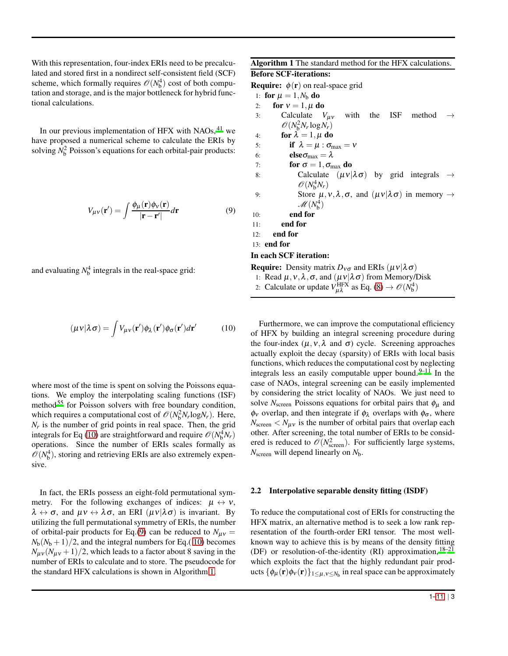With this representation, four-index ERIs need to be precalculated and stored first in a nondirect self-consistent field (SCF) scheme, which formally requires  $\mathcal{O}(N_b^4)$  cost of both computation and storage, and is the major bottleneck for hybrid functional calculations.

In our previous implementation of HFX with NAOs, <sup>[41](#page-9-28)</sup> we have proposed a numerical scheme to calculate the ERIs by solving  $N_b^2$  Poisson's equations for each orbital-pair products:

<span id="page-2-1"></span>
$$
V_{\mu\nu}(\mathbf{r}') = \int \frac{\phi_{\mu}(\mathbf{r})\phi_{\nu}(\mathbf{r})}{|\mathbf{r} - \mathbf{r}'|} d\mathbf{r}
$$
(9)

and evaluating  $N_b^4$  integrals in the real-space grid:

<span id="page-2-0"></span>
$$
(\mu v|\lambda \sigma) = \int V_{\mu\nu}(\mathbf{r}')\phi_{\lambda}(\mathbf{r}')\phi_{\sigma}(\mathbf{r}')d\mathbf{r}'
$$
 (10)

where most of the time is spent on solving the Poissons equations. We employ the interpolating scaling functions (ISF) method<sup>[55](#page-10-2)</sup> for Poisson solvers with free boundary condition, which requires a computational cost of  $\mathcal{O}(N_b^2 N_r \log N_r)$ . Here,  $N_r$  is the number of grid points in real space. Then, the grid integrals for Eq [\(10\)](#page-2-0) are straightforward and require  $\mathcal{O}(N_b^4 N_r)$ operations. Since the number of ERIs scales formally as  $\mathscr{O}(N_{\rm b}^4)$ , storing and retrieving ERIs are also extremely expensive.

In fact, the ERIs possess an eight-fold permutational symmetry. For the following exchanges of indices:  $\mu \leftrightarrow \nu$ ,  $\lambda \leftrightarrow \sigma$ , and  $\mu v \leftrightarrow \lambda \sigma$ , an ERI  $(\mu v | \lambda \sigma)$  is invariant. By utilizing the full permutational symmetry of ERIs, the number of orbital-pair products for Eq.[\(9\)](#page-2-1) can be reduced to  $N_{\mu\nu}$  =  $N_b(N_b+1)/2$ , and the integral numbers for Eq.( [10\)](#page-2-0) becomes  $N_{\mu\nu}(N_{\mu\nu}+1)/2$ , which leads to a factor about 8 saving in the number of ERIs to calculate and to store. The pseudocode for the standard HFX calculations is shown in Algorithm [1.](#page-2-2)

#### Algorithm 1 The standard method for the HFX calculations.

## Before SCF-iterations:

**Require:**  $\phi(\mathbf{r})$  on real-space grid

1: for  $\mu = 1, N_b$  do 2: for  $v = 1, \mu$  do 3: Calculate  $V_{\mu\nu}$  with the ISF method  $\mathcal{O}(N_b^2 N_r \log N_r)$ 4: for  $\lambda = 1, \mu$  do 5: if  $\lambda = \mu : \sigma_{\text{max}} = v$ 

6: **else** $\sigma_{\text{max}} = \lambda$ 

- 7: for  $\sigma = 1, \sigma_{\text{max}}$  do
- 8: Calculate  $(\mu v|\lambda \sigma)$  by grid integrals  $\rightarrow$  $\mathcal{O}(N_b^4 N_r)$
- 9: Store  $\mu$ ,  $\nu$ ,  $\lambda$ ,  $\sigma$ , and  $(\mu \nu | \lambda \sigma)$  in memory  $\rightarrow$  $\mathcal{M}(N_b^4)$

$$
10: \qquad \qquad \textbf{end for}
$$

11: end for

12: end for

13: end for

In each SCF iteration: **Require:** Density matrix  $D_{\nu\sigma}$  and ERIs ( $\mu \nu | \lambda \sigma$ )

<span id="page-2-2"></span>1: Read  $\mu$ ,  $\nu$ ,  $\lambda$ ,  $\sigma$ , and  $(\mu \nu | \lambda \sigma)$  from Memory/Disk

2: Calculate or update  $V_{\mu\lambda}^{\text{HFX}}$  as Eq. [\(8\)](#page-1-3)  $\rightarrow \mathcal{O}(N_b^4)$ 

Furthermore, we can improve the computational efficiency of HFX by building an integral screening procedure during the four-index  $(\mu, \nu, \lambda)$  and  $\sigma$ ) cycle. Screening approaches actually exploit the decay (sparsity) of ERIs with local basis functions, which reduces the computational cost by neglecting integrals less an easily computable upper bound.  $9-11$  $9-11$  In the case of NAOs, integral screening can be easily implemented by considering the strict locality of NAOs. We just need to solve  $N_{\text{screen}}$  Poissons equations for orbital pairs that  $\phi_{\mu}$  and  $\phi_v$  overlap, and then integrate if  $\phi_\lambda$  overlaps with  $\phi_\sigma$ , where  $N_{\text{screen}} < N_{\mu\nu}$  is the number of orbital pairs that overlap each other. After screening, the total number of ERIs to be considered is reduced to  $\mathcal{O}(N_{\text{screen}}^2)$ . For sufficiently large systems, *N*screen will depend linearly on *N*b.

#### <span id="page-2-3"></span>2.2 Interpolative separable density fitting (ISDF)

To reduce the computational cost of ERIs for constructing the HFX matrix, an alternative method is to seek a low rank representation of the fourth-order ERI tensor. The most wellknown way to achieve this is by means of the density fitting (DF) or resolution-of-the-identity (RI) approximation,  $18-21$  $18-21$ which exploits the fact that the highly redundant pair products  $\{\phi_{\mu}(\mathbf{r})\phi_{\nu}(\mathbf{r})\}_{1\leq\mu,\nu\leq N_{\textrm{b}}}$  in real space can be approximately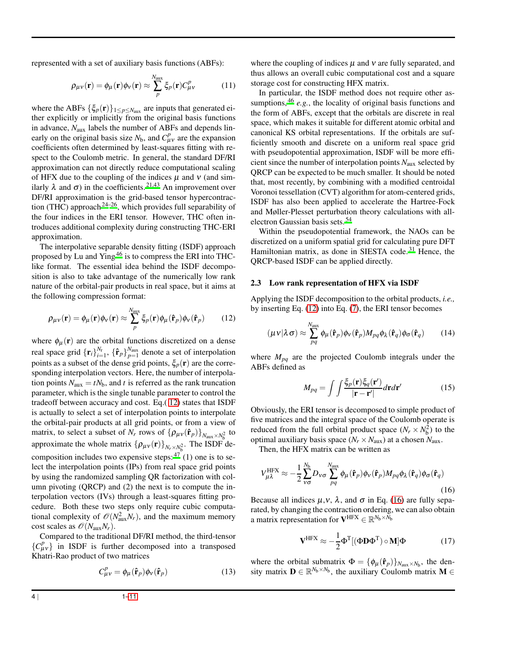represented with a set of auxiliary basis functions (ABFs):

$$
\rho_{\mu\nu}(\mathbf{r}) = \phi_{\mu}(\mathbf{r})\phi_{\nu}(\mathbf{r}) \approx \sum_{p}^{N_{\text{aux}}} \xi_{p}(\mathbf{r})C_{\mu\nu}^{p}
$$
(11)

where the ABFs  $\{\xi_p(\mathbf{r})\}_{1 \leq p \leq N_{\text{aux}}}$  are inputs that generated either explicitly or implicitly from the original basis functions in advance,  $N_{\text{aux}}$  labels the number of ABFs and depends linearly on the original basis size  $N_b$ , and  $C_{\mu\nu}^p$  are the expansion coefficients often determined by least-squares fitting with respect to the Coulomb metric. In general, the standard DF/RI approximation can not directly reduce computational scaling of HFX due to the coupling of the indices  $\mu$  and  $\nu$  (and similarly  $\lambda$  and  $\sigma$ ) in the coefficients.<sup>[21](#page-9-12)[,43](#page-9-30)</sup> An improvement over DF/RI approximation is the grid-based tensor hypercontraction (THC) approach  $24-26$  $24-26$ , which provides full separability of the four indices in the ERI tensor. However, THC often introduces additional complexity during constructing THC-ERI approximation.

The interpolative separable density fitting (ISDF) approach proposed by Lu and Ying<sup>[46](#page-9-33)</sup> is to compress the ERI into THClike format. The essential idea behind the ISDF decomposition is also to take advantage of the numerically low rank nature of the orbital-pair products in real space, but it aims at the following compression format:

<span id="page-3-0"></span>
$$
\rho_{\mu\nu}(\mathbf{r}) = \phi_{\mu}(\mathbf{r})\phi_{\nu}(\mathbf{r}) \approx \sum_{p}^{N_{\text{aux}}}\xi_{p}(\mathbf{r})\phi_{\mu}(\hat{\mathbf{r}}_{p})\phi_{\nu}(\hat{\mathbf{r}}_{p})
$$
(12)

where  $\phi_{\mu}(\mathbf{r})$  are the orbital functions discretized on a dense real space grid  $\{\mathbf{r}_i\}_{i=1}^{N_{\text{r}}}$ ,  $\{\hat{\mathbf{r}}_p\}_{p=1}^{N_{\text{aux}}}$  denote a set of interpolation points as a subset of the dense grid points,  $\xi_p(\mathbf{r})$  are the corresponding interpolation vectors. Here, the number of interpolation points  $N_{\text{aux}} = tN_b$ , and *t* is referred as the rank truncation parameter, which is the single tunable parameter to control the tradeoff between accuracy and cost. Eq.( [12\)](#page-3-0) states that ISDF is actually to select a set of interpolation points to interpolate the orbital-pair products at all grid points, or from a view of matrix, to select a subset of *N<sub>r</sub>* rows of  $\{\rho_{\mu\nu}(\hat{\mathbf{r}}_p)\}_{N_{\text{aux}} \times N_p^2}$  to approximate the whole matrix  $\{\rho_{\mu\nu}(\mathbf{r})\}_{N_r \times N_b^2}$ . The ISDF decomposition includes two expensive steps:  $47(1)$  $47(1)$  one is to select the interpolation points (IPs) from real space grid points by using the randomized sampling QR factorization with column pivoting (QRCP) and (2) the next is to compute the interpolation vectors (IVs) through a least-squares fitting procedure. Both these two steps only require cubic computational complexity of  $\mathcal{O}(N_{\text{aux}}^2 N_r)$ , and the maximum memory cost scales as  $\mathcal{O}(N_{\text{aux}}N_r)$ .

Compared to the traditional DF/RI method, the third-tensor  ${C_{\mu\nu}^p}$  in ISDF is further decomposed into a transposed Khatri-Rao product of two matrices

$$
C_{\mu\nu}^p = \phi_\mu(\hat{\mathbf{r}}_p)\phi_\nu(\hat{\mathbf{r}}_p) \tag{13}
$$

where the coupling of indices  $\mu$  and  $\nu$  are fully separated, and thus allows an overall cubic computational cost and a square storage cost for constructing HFX matrix.

In particular, the ISDF method does not require other assumptions,  $46$  *e.g.*, the locality of original basis functions and the form of ABFs, except that the orbitals are discrete in real space, which makes it suitable for different atomic orbital and canonical KS orbital representations. If the orbitals are sufficiently smooth and discrete on a uniform real space grid with pseudopotential approximation, ISDF will be more efficient since the number of interpolation points *N*aux selected by QRCP can be expected to be much smaller. It should be noted that, most recently, by combining with a modified centroidal Voronoi tessellation (CVT) algorithm for atom-centered grids, ISDF has also been applied to accelerate the Hartree-Fock and Møller-Plesset perturbation theory calculations with allelectron Gaussian basis sets. [54](#page-10-1)

Within the pseudopotential framework, the NAOs can be discretized on a uniform spatial grid for calculating pure DFT Hamiltonian matrix, as done in SIESTA code.<sup>[31](#page-9-21)</sup> Hence, the QRCP-based ISDF can be applied directly.

#### <span id="page-3-2"></span>2.3 Low rank representation of HFX via ISDF

Applying the ISDF decomposition to the orbital products, *i.e.,* by inserting Eq. [\(12\)](#page-3-0) into Eq. [\(7\)](#page-1-4), the ERI tensor becomes

$$
(\mu v|\lambda \sigma) \approx \sum_{pq}^{N_{\text{aux}}} \phi_{\mu}(\mathbf{\hat{r}}_{p}) \phi_{v}(\mathbf{\hat{r}}_{p}) M_{pq} \phi_{\lambda}(\mathbf{\hat{r}}_{q}) \phi_{\sigma}(\mathbf{\hat{r}}_{q}) \qquad (14)
$$

where  $M_{pq}$  are the projected Coulomb integrals under the ABFs defined as

$$
M_{pq} = \int \int \frac{\xi_p(\mathbf{r}) \xi_q(\mathbf{r}')}{|\mathbf{r} - \mathbf{r}'|} d\mathbf{r} d\mathbf{r}'
$$
 (15)

Obviously, the ERI tensor is decomposed to simple product of five matrices and the integral space of the Coulomb operate is reduced from the full orbital product space  $(N_r \times N_b^2)$  to the optimal auxiliary basis space ( $N_r \times N_{\text{aux}}$ ) at a chosen  $N_{\text{aux}}$ .

Then, the HFX matrix can be written as

<span id="page-3-1"></span>
$$
V_{\mu\lambda}^{\text{HFX}} \approx -\frac{1}{2} \sum_{V\sigma}^{N_{b}} D_{V\sigma} \sum_{pq}^{N_{\text{aux}}} \phi_{\mu}(\hat{\mathbf{r}}_{p}) \phi_{V}(\hat{\mathbf{r}}_{p}) M_{pq} \phi_{\lambda}(\hat{\mathbf{r}}_{q}) \phi_{\sigma}(\hat{\mathbf{r}}_{q})
$$
(16)

Because all indices  $\mu$ ,  $\nu$ ,  $\lambda$ , and  $\sigma$  in Eq. [\(16\)](#page-3-1) are fully separated, by changing the contraction ordering, we can also obtain a matrix representation for  $\mathbf{V}^{\text{HFX}}\in\mathbb{R}^{N_\text{b}\times\bar{N}_\text{b}}$ 

$$
\mathbf{V}^{\text{HFX}} \approx -\frac{1}{2} \mathbf{\Phi}^{\text{T}} [(\mathbf{\Phi} \mathbf{D} \mathbf{\Phi}^{\text{T}}) \circ \mathbf{M}] \mathbf{\Phi}
$$
 (17)

where the orbital submatrix  $\Phi = {\phi_{\mu}(\hat{\mathbf{r}}_p)}_{\text{Max}} \times N_b$ , the density matrix  $\mathbf{D} \in \mathbb{R}^{N_b \times N_b}$ , the auxiliary Coulomb matrix  $\mathbf{M} \in$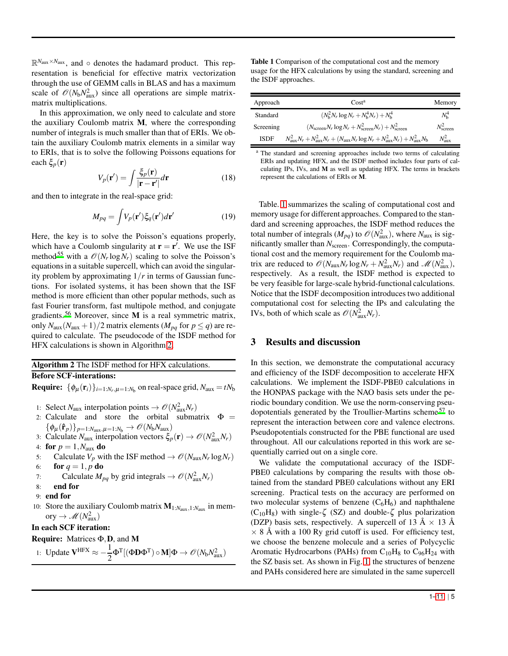R *<sup>N</sup>*aux×*N*aux , and ◦ denotes the hadamard product. This representation is beneficial for effective matrix vectorization through the use of GEMM calls in BLAS and has a maximum scale of  $\mathcal{O}(N_b N_{\text{aux}}^2)$  since all operations are simple matrixmatrix multiplications.

In this approximation, we only need to calculate and store the auxiliary Coulomb matrix M, where the corresponding number of integrals is much smaller than that of ERIs. We obtain the auxiliary Coulomb matrix elements in a similar way to ERIs, that is to solve the following Poissons equations for each  $\xi_p(\mathbf{r})$ 

$$
V_p(\mathbf{r}') = \int \frac{\xi_p(\mathbf{r})}{|\mathbf{r} - \mathbf{r}'|} d\mathbf{r}
$$
 (18)

and then to integrate in the real-space grid:

$$
M_{pq} = \int V_p(\mathbf{r}') \xi_q(\mathbf{r}') d\mathbf{r}' \tag{19}
$$

Here, the key is to solve the Poisson's equations properly, which have a Coulomb singularity at  $\mathbf{r} = \mathbf{r}'$ . We use the ISF method<sup>[55](#page-10-2)</sup> with a  $\mathcal{O}(N_r \log N_r)$  scaling to solve the Poisson's equations in a suitable supercell, which can avoid the singularity problem by approximating 1/*r* in terms of Gaussian functions. For isolated systems, it has been shown that the ISF method is more efficient than other popular methods, such as fast Fourier transform, fast multipole method, and conjugate gradients.<sup>[56](#page-10-3)</sup> Moreover, since **M** is a real symmetric matrix, only  $N_{\text{aux}}(N_{\text{aux}}+1)/2$  matrix elements ( $M_{pq}$  for  $p \le q$ ) are required to calculate. The pseudocode of the ISDF method for HFX calculations is shown in Algorithm [2.](#page-4-1)

### Algorithm 2 The ISDF method for HFX calculations. Before SCF-interations:

**Require:**  $\{\phi_{\mu}(\mathbf{r}_i)\}_{i=1:N_r,\mu=1:N_b}$  on real-space grid,  $N_{\text{aux}} = tN_b$ 

- 1: Select  $N_{\text{aux}}$  interpolation points  $\rightarrow \mathcal{O}(N_{\text{aux}}^2 N_r)$
- 2: Calculate and store the orbital submatrix  $\Phi =$  ${\lbrace \phi_{\mu}(\hat{\mathbf{r}}_p)\rbrace_{p=1:N_{\text{aux}},\mu=1:N_{\text{b}}}\rightarrow \mathscr{O}(N_{\text{b}}N_{\text{aux}})}$
- 3: Calculate  $N_{\text{aux}}$  interpolation vectors  $\xi_p(\mathbf{r}) \to \mathcal{O}(N_{\text{aux}}^2 N_r)$
- 4: for  $p = 1, N_{\text{aux}}$  do
- 5: Calculate  $V_p$  with the ISF method  $\rightarrow \mathcal{O}(N_{\text{aux}}N_r \log N_r)$ 6: **for**  $q = 1, p$  do
- 7: Calculate  $M_{pq}$  by grid integrals  $\rightarrow \mathcal{O}(N_{\text{aux}}^2 N_r)$
- 8: end for
- 9: end for
- 10: Store the auxiliary Coulomb matrix M1:*N*aux,1:*N*aux in memory  $\rightarrow \mathscr{M}(N_{\text{aux}}^2)$

# In each SCF iteration:

Require: Matrices Φ,D, and M

<span id="page-4-1"></span>
$$
\text{1: Update } \boldsymbol{V}^{HFX} \approx -\frac{1}{2} \boldsymbol{\Phi}^T [ (\boldsymbol{\Phi} \boldsymbol{D} \boldsymbol{\Phi}^T) \circ \boldsymbol{M} ] \boldsymbol{\Phi} \rightarrow \mathscr{O}(N_b N_{aux}^2)
$$

<span id="page-4-2"></span>Table 1 Comparison of the computational cost and the memory usage for the HFX calculations by using the standard, screening and the ISDF approaches.

| Approach    | Cost <sup>a</sup>                                                                                                           | Memory             |
|-------------|-----------------------------------------------------------------------------------------------------------------------------|--------------------|
| Standard    | $(N_h^2 N_r \log N_r + N_h^4 N_r) + N_h^4$                                                                                  | $N_{\rm h}^4$      |
| Screening   | $(N_{\text{screen}}N_r \log N_r + N_{\text{screen}}^2 N_r) + N_{\text{screen}}^2$                                           | $N_{\rm screen}^2$ |
| <b>ISDF</b> | $N_{\text{aux}}^2 N_r + N_{\text{aux}}^2 N_r + (N_{\text{aux}} N_r \log N_r + N_{\text{aux}}^2 N_r) + N_{\text{aux}}^2 N_b$ | $N_{\text{aux}}^2$ |

<sup>a</sup> The standard and screening approaches include two terms of calculating ERIs and updating HFX, and the ISDF method includes four parts of calculating IPs, IVs, and M as well as updating HFX. The terms in brackets represent the calculations of ERIs or M.

Table. [1](#page-4-2) summarizes the scaling of computational cost and memory usage for different approaches. Compared to the standard and screening approaches, the ISDF method reduces the total number of integrals  $(M_{pq})$  to  $\mathcal{O}(N_{\text{aux}}^2)$ , where  $N_{\text{aux}}$  is significantly smaller than *N*screen. Correspondingly, the computational cost and the memory requirement for the Coulomb matrix are reduced to  $\mathcal{O}(N_{\text{aux}}N_r \log N_r + N_{\text{aux}}^2 N_r)$  and  $\mathcal{M}(N_{\text{aux}}^2)$ , respectively. As a result, the ISDF method is expected to be very feasible for large-scale hybrid-functional calculations. Notice that the ISDF decomposition introduces two additional computational cost for selecting the IPs and calculating the IVs, both of which scale as  $\mathcal{O}(N_{\text{aux}}^2 N_r)$ .

# <span id="page-4-0"></span>3 Results and discussion

In this section, we demonstrate the computational accuracy and efficiency of the ISDF decomposition to accelerate HFX calculations. We implement the ISDF-PBE0 calculations in the HONPAS package with the NAO basis sets under the periodic boundary condition. We use the norm-conserving pseudopotentials generated by the Troullier-Martins scheme [57](#page-10-4) to represent the interaction between core and valence electrons. Pseudopotentials constructed for the PBE functional are used throughout. All our calculations reported in this work are sequentially carried out on a single core.

We validate the computational accuracy of the ISDF-PBE0 calculations by comparing the results with those obtained from the standard PBE0 calculations without any ERI screening. Practical tests on the accuracy are performed on two molecular systems of benzene  $(C_6H_6)$  and naphthalene  $(C_{10}H_8)$  with single- $\zeta$  (SZ) and double- $\zeta$  plus polarization (DZP) basis sets, respectively. A supercell of 13  $\AA \times 13$   $\AA$  $\times$  8 Å with a 100 Ry grid cutoff is used. For efficiency test, we choose the benzene molecule and a series of Polycyclic Aromatic Hydrocarbons (PAHs) from  $C_{10}H_8$  to  $C_{96}H_{24}$  with the SZ basis set. As shown in Fig. [1,](#page-5-0) the structures of benzene and PAHs considered here are simulated in the same supercell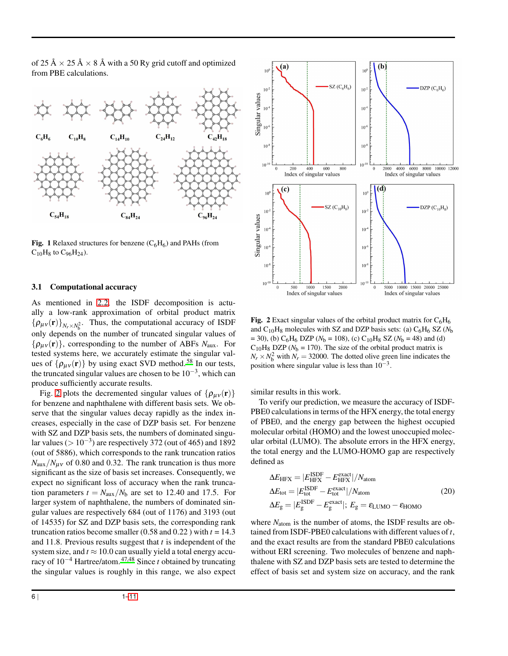of 25 Å  $\times$  25 Å  $\times$  8 Å with a 50 Ry grid cutoff and optimized from PBE calculations.

<span id="page-5-0"></span>

Fig. 1 Relaxed structures for benzene  $(C_6H_6)$  and PAHs (from  $C_{10}H_8$  to  $C_{96}H_{24}$ ).

#### 3.1 Computational accuracy

As mentioned in [2.2,](#page-2-3) the ISDF decomposition is actually a low-rank approximation of orbital product matrix  $\{\rho_{\mu\nu}(\mathbf{r})\}_{N_r\times N_b^2}$ . Thus, the computational accuracy of ISDF only depends on the number of truncated singular values of  $\{\rho_{\mu\nu}(\mathbf{r})\}\$ , corresponding to the number of ABFs  $N_{\text{aux}}$ . For tested systems here, we accurately estimate the singular values of  $\{\rho_{\mu\nu}(\mathbf{r})\}$  by using exact SVD method.<sup>[58](#page-10-5)</sup> In our tests, the truncated singular values are chosen to be  $10^{-3}$ , which can produce sufficiently accurate results.

Fig. [2](#page-5-1) plots the decremented singular values of  $\{\rho_{\mu\nu}(\mathbf{r})\}$ for benzene and naphthalene with different basis sets. We observe that the singular values decay rapidly as the index increases, especially in the case of DZP basis set. For benzene with SZ and DZP basis sets, the numbers of dominated singular values ( $> 10^{-3}$ ) are respectively 372 (out of 465) and 1892 (out of 5886), which corresponds to the rank truncation ratios  $N_{\text{aux}}/N_{\text{uv}}$  of 0.80 and 0.32. The rank truncation is thus more significant as the size of basis set increases. Consequently, we expect no significant loss of accuracy when the rank truncation parameters  $t = N_{\text{aux}}/N_{\text{b}}$  are set to 12.40 and 17.5. For larger system of naphthalene, the numbers of dominated singular values are respectively 684 (out of 1176) and 3193 (out of 14535) for SZ and DZP basis sets, the corresponding rank truncation ratios become smaller  $(0.58 \text{ and } 0.22)$  with  $t = 14.3$ and 11.8. Previous results suggest that *t* is independent of the system size, and  $t \approx 10.0$  can usually yield a total energy accuracy of 10−<sup>4</sup> Hartree/atom. [47](#page-9-34)[,48](#page-9-35) Since *t* obtained by truncating the singular values is roughly in this range, we also expect

<span id="page-5-1"></span>

Fig. 2 Exact singular values of the orbital product matrix for  $C_6H_6$ and  $C_{10}H_8$  molecules with SZ and DZP basis sets: (a)  $C_6H_6$  SZ ( $N_b$ )  $= 30$ ), (b) C<sub>6</sub>H<sub>6</sub> DZP ( $N<sub>b</sub> = 108$ ), (c) C<sub>10</sub>H<sub>8</sub> SZ ( $N<sub>b</sub> = 48$ ) and (d)  $C_{10}H_8$  DZP ( $N_b$  = 170). The size of the orbital product matrix is  $N_r \times N_b^2$  with  $N_r = 32000$ . The dotted olive green line indicates the position where singular value is less than  $10^{-3}$ .

similar results in this work.

To verify our prediction, we measure the accuracy of ISDF-PBE0 calculations in terms of the HFX energy, the total energy of PBE0, and the energy gap between the highest occupied molecular orbital (HOMO) and the lowest unoccupied molecular orbital (LUMO). The absolute errors in the HFX energy, the total energy and the LUMO-HOMO gap are respectively defined as

$$
\Delta E_{\text{HFX}} = |E_{\text{HFX}}^{\text{ISDF}} - E_{\text{HFX}}^{\text{exact}}|/N_{\text{atom}}
$$
  
\n
$$
\Delta E_{\text{tot}} = |E_{\text{tot}}^{\text{ISDF}} - E_{\text{tot}}^{\text{exact}}|/N_{\text{atom}}
$$
  
\n
$$
\Delta E_{\text{g}} = |E_{\text{g}}^{\text{ISDF}} - E_{\text{g}}^{\text{exact}}|; E_{\text{g}} = \varepsilon_{\text{LUMO}} - \varepsilon_{\text{HOMO}}
$$
\n(20)

where  $N_{\text{atom}}$  is the number of atoms, the ISDF results are obtained from ISDF-PBE0 calculations with different values of*t*, and the exact results are from the standard PBE0 calculations without ERI screening. Two molecules of benzene and naphthalene with SZ and DZP basis sets are tested to determine the effect of basis set and system size on accuracy, and the rank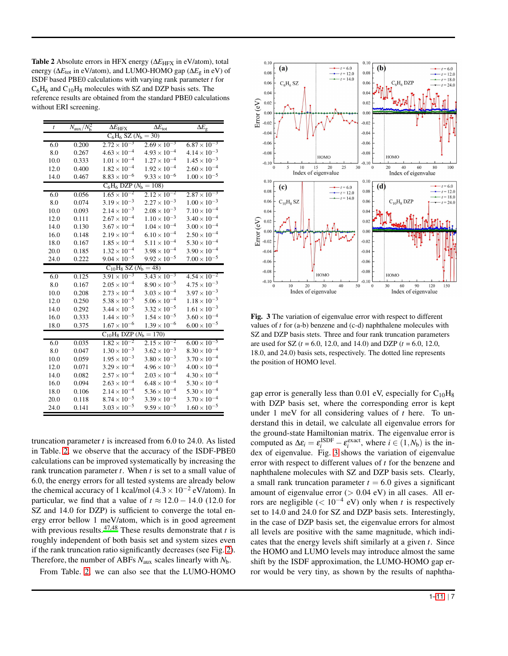<span id="page-6-0"></span>Table 2 Absolute errors in HFX energy ( $\Delta E$ <sub>HFX</sub> in eV/atom), total energy (∆*E*tot in eV/atom), and LUMO-HOMO gap (∆*E*g in eV) of ISDF based PBE0 calculations with varying rank parameter *t* for  $C_6H_6$  and  $C_{10}H_8$  molecules with SZ and DZP basis sets. The reference results are obtained from the standard PBE0 calculations without ERI screening.

| t                               | $N_{\rm aux}/\overline{N_{\rm h}^2}$ | $\Delta E_{\rm HFX}$          | $\overline{\Delta E_{\rm tot}}$ | $\Delta E_{\rm g}$    |  |  |  |
|---------------------------------|--------------------------------------|-------------------------------|---------------------------------|-----------------------|--|--|--|
| $C_6H_6$ SZ ( $N_b = 30$ )      |                                      |                               |                                 |                       |  |  |  |
| 6.0                             | 0.200                                | $2.72 \times 10^{-3}$         | $2.69 \times 10^{-3}$           | $6.87 \times 10^{-3}$ |  |  |  |
| 8.0                             | 0.267                                | $4.63 \times 10^{-4}$         | $4.93 \times 10^{-4}$           | $4.14 \times 10^{-3}$ |  |  |  |
| 10.0                            | 0.333                                | $1.01 \times 10^{-4}$         | $1.27 \times 10^{-4}$           | $1.45 \times 10^{-3}$ |  |  |  |
| 12.0                            | 0.400                                | $1.82 \times 10^{-4}$         | $1.92 \times 10^{-4}$           | $2.60 \times 10^{-4}$ |  |  |  |
| 14.0                            | 0.467                                | $8.83 \times 10^{-6}$         | $9.33 \times 10^{-6}$           | $1.00 \times 10^{-5}$ |  |  |  |
| $C_6H_6$ DZP ( $N_b = 108$ )    |                                      |                               |                                 |                       |  |  |  |
| 6.0                             | 0.056                                | $1.65 \times 10^{-2}$         | $2.12 \times 10^{-2}$           | $2.87 \times 10^{-3}$ |  |  |  |
| 8.0                             | 0.074                                | $3.19 \times 10^{-3}$         | $2.27 \times 10^{-3}$           | $1.00 \times 10^{-3}$ |  |  |  |
| 10.0                            | 0.093                                | $2.14 \times 10^{-3}$         | $2.08 \times 10^{-3}$           | $7.10 \times 10^{-4}$ |  |  |  |
| 12.0                            | 0.111                                | $2.67 \times 10^{-4}$         | $1.10 \times 10^{-3}$           | $3.40 \times 10^{-4}$ |  |  |  |
| 14.0                            | 0.130                                | $3.67 \times 10^{-4}$         | $1.04 \times 10^{-4}$           | $3.00 \times 10^{-4}$ |  |  |  |
| 16.0                            | 0.148                                | $2.19 \times 10^{-4}$         | $6.10 \times 10^{-4}$           | $2.50 \times 10^{-4}$ |  |  |  |
| 18.0                            | 0.167                                | $1.85 \times 10^{-4}$         | $5.11 \times 10^{-4}$           | $5.30 \times 10^{-4}$ |  |  |  |
| 20.0                            | 0.185                                | $1.32 \times 10^{-4}$         | $3.98 \times 10^{-4}$           | $3.90 \times 10^{-4}$ |  |  |  |
| 24.0                            | 0.222                                | $9.04 \times 10^{-5}$         | $9.92 \times 10^{-5}$           | $7.00 \times 10^{-5}$ |  |  |  |
|                                 |                                      | $C_{10}H_8$ SZ ( $N_b = 48$ ) |                                 |                       |  |  |  |
| 6.0                             | 0.125                                | $3.91 \times 10^{-3}$         | $3.43 \times 10^{-3}$           | $4.54 \times 10^{-2}$ |  |  |  |
| 8.0                             | 0.167                                | $2.05 \times 10^{-4}$         | $8.90 \times 10^{-5}$           | $4.75 \times 10^{-3}$ |  |  |  |
| 10.0                            | 0.208                                | $2.73 \times 10^{-4}$         | $3.03 \times 10^{-4}$           | $3.97 \times 10^{-3}$ |  |  |  |
| 12.0                            | 0.250                                | $5.38 \times 10^{-5}$         | $5.06 \times 10^{-4}$           | $1.18\times10^{-3}$   |  |  |  |
| 14.0                            | 0.292                                | $3.44 \times 10^{-5}$         | $3.32 \times 10^{-5}$           | $1.61 \times 10^{-3}$ |  |  |  |
| 16.0                            | 0.333                                | $1.44 \times 10^{-5}$         | $1.54 \times 10^{-5}$           | $3.60 \times 10^{-4}$ |  |  |  |
| 18.0                            | 0.375                                | $1.67 \times 10^{-6}$         | $1.39 \times 10^{-6}$           | $6.00 \times 10^{-5}$ |  |  |  |
| $C_{10}H_8$ DZP ( $N_b = 170$ ) |                                      |                               |                                 |                       |  |  |  |
| 6.0                             | 0.035                                | $1.82 \times 10^{-2}$         | $2.15 \times 10^{-2}$           | $6.00 \times 10^{-5}$ |  |  |  |
| 8.0                             | 0.047                                | $1.30 \times 10^{-3}$         | $3.62 \times 10^{-3}$           | $8.30 \times 10^{-4}$ |  |  |  |
| 10.0                            | 0.059                                | $1.95 \times 10^{-3}$         | $3.80 \times 10^{-3}$           | $3.70 \times 10^{-4}$ |  |  |  |
| 12.0                            | 0.071                                | $3.29 \times 10^{-4}$         | $4.96 \times 10^{-3}$           | $4.00 \times 10^{-4}$ |  |  |  |
| 14.0                            | 0.082                                | $2.57 \times 10^{-4}$         | $2.03 \times 10^{-4}$           | $4.30 \times 10^{-4}$ |  |  |  |
| 16.0                            | 0.094                                | $2.63 \times 10^{-4}$         | $6.48 \times 10^{-4}$           | $5.30 \times 10^{-4}$ |  |  |  |
| 18.0                            | 0.106                                | $2.14 \times 10^{-4}$         | $5.36 \times 10^{-4}$           | $5.30 \times 10^{-4}$ |  |  |  |
| 20.0                            | 0.118                                | $8.74 \times 10^{-5}$         | $3.39 \times 10^{-4}$           | $3.70 \times 10^{-4}$ |  |  |  |
| 24.0                            | 0.141                                | $3.03 \times 10^{-5}$         | $9.59 \times 10^{-5}$           | $1.60 \times 10^{-5}$ |  |  |  |

truncation parameter *t* is increased from 6.0 to 24.0. As listed in Table. [2,](#page-6-0) we observe that the accuracy of the ISDF-PBE0 calculations can be improved systematically by increasing the rank truncation parameter *t*. When *t* is set to a small value of 6.0, the energy errors for all tested systems are already below the chemical accuracy of 1 kcal/mol  $(4.3 \times 10^{-2} \text{ eV/atom})$ . In particular, we find that a value of  $t \approx 12.0 - 14.0$  (12.0 for SZ and 14.0 for DZP) is sufficient to converge the total energy error bellow 1 meV/atom, which is in good agreement with previous results.  $47,48$  $47,48$  These results demonstrate that *t* is roughly independent of both basis set and system sizes even if the rank truncation ratio significantly decreases (see Fig. [2\)](#page-5-1). Therefore, the number of ABFs *N*aux scales linearly with *N*b.

From Table. [2,](#page-6-0) we can also see that the LUMO-HOMO

<span id="page-6-1"></span>

Fig. 3 The variation of eigenvalue error with respect to different values of *t* for (a-b) benzene and (c-d) naphthalene molecules with SZ and DZP basis stets. Three and four rank truncation parameters are used for SZ (*t* = 6.0, 12.0, and 14.0) and DZP (*t* = 6.0, 12.0, 18.0, and 24.0) basis sets, respectively. The dotted line represents the position of HOMO level.

gap error is generally less than 0.01 eV, especially for  $C_{10}H_8$ with DZP basis set, where the corresponding error is kept under 1 meV for all considering values of *t* here. To understand this in detail, we calculate all eigenvalue errors for the ground-state Hamiltonian matrix. The eigenvalue error is computed as  $\Delta \varepsilon_i = \varepsilon_i^{\text{ISDF}} - \varepsilon_i^{\text{exact}}$ , where  $i \in (1, N_b)$  is the index of eigenvalue. Fig. [3](#page-6-1) shows the variation of eigenvalue error with respect to different values of *t* for the benzene and naphthalene molecules with SZ and DZP basis sets. Clearly, a small rank truncation parameter  $t = 6.0$  gives a significant amount of eigenvalue error  $(> 0.04$  eV) in all cases. All errors are negligible  $(< 10^{-4}$  eV) only when *t* is respectively set to 14.0 and 24.0 for SZ and DZP basis sets. Interestingly, in the case of DZP basis set, the eigenvalue errors for almost all levels are positive with the same magnitude, which indicates that the energy levels shift similarly at a given *t*. Since the HOMO and LUMO levels may introduce almost the same shift by the ISDF approximation, the LUMO-HOMO gap error would be very tiny, as shown by the results of naphtha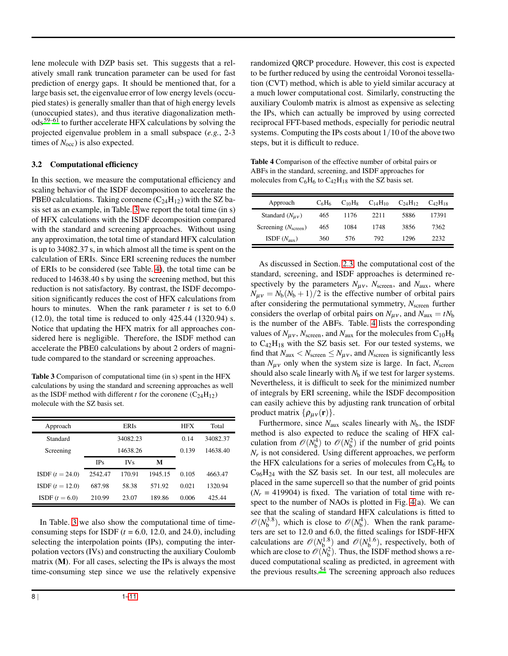lene molecule with DZP basis set. This suggests that a relatively small rank truncation parameter can be used for fast prediction of energy gaps. It should be mentioned that, for a large basis set, the eigenvalue error of low energy levels (occupied states) is generally smaller than that of high energy levels (unoccupied states), and thus iterative diagonalization methods [59](#page-10-6)[–61](#page-10-7) to further accelerate HFX calculations by solving the projected eigenvalue problem in a small subspace (*e.g.*, 2-3 times of  $N<sub>occ</sub>$ ) is also expected.

## 3.2 Computational efficiency

In this section, we measure the computational efficiency and scaling behavior of the ISDF decomposition to accelerate the PBE0 calculations. Taking coronene  $(C_{24}H_{12})$  with the SZ basis set as an example, in Table. [3](#page-7-0) we report the total time (in s) of HFX calculations with the ISDF decomposition compared with the standard and screening approaches. Without using any approximation, the total time of standard HFX calculation is up to 34082.37 s, in which almost all the time is spent on the calculation of ERIs. Since ERI screening reduces the number of ERIs to be considered (see Table. [4\)](#page-7-1), the total time can be reduced to 14638.40 s by using the screening method, but this reduction is not satisfactory. By contrast, the ISDF decomposition significantly reduces the cost of HFX calculations from hours to minutes. When the rank parameter  $t$  is set to  $6.0$ (12.0), the total time is reduced to only 425.44 (1320.94) s. Notice that updating the HFX matrix for all approaches considered here is negligible. Therefore, the ISDF method can accelerate the PBE0 calculations by about 2 orders of magnitude compared to the standard or screening approaches.

<span id="page-7-0"></span>Table 3 Comparison of computational time (in s) spent in the HFX calculations by using the standard and screening approaches as well as the ISDF method with different *t* for the coronene  $(C_{24}H_{12})$ molecule with the SZ basis set.

| Approach          |            | ERIs       |         | HFX   | Total    |
|-------------------|------------|------------|---------|-------|----------|
| Standard          | 34082.23   |            |         | 0.14  | 34082.37 |
| Screening         | 14638.26   |            |         | 0.139 | 14638.40 |
|                   | <b>IPs</b> | <b>IVs</b> | M       |       |          |
| $ISDF (t = 24.0)$ | 2542.47    | 170.91     | 1945.15 | 0.105 | 4663.47  |
| $ISDF (t = 12.0)$ | 687.98     | 58.38      | 571.92  | 0.021 | 1320.94  |
| $ISDF (t = 6.0)$  | 210.99     | 23.07      | 189.86  | 0.006 | 425.44   |

In Table. [3](#page-7-0) we also show the computational time of timeconsuming steps for ISDF  $(t = 6.0, 12.0, \text{ and } 24.0)$ , including selecting the interpolation points (IPs), computing the interpolation vectors (IVs) and constructing the auxiliary Coulomb matrix (M). For all cases, selecting the IPs is always the most time-consuming step since we use the relatively expensive

randomized QRCP procedure. However, this cost is expected to be further reduced by using the centroidal Voronoi tessellation (CVT) method, which is able to yield similar accuracy at a much lower computational cost. Similarly, constructing the auxiliary Coulomb matrix is almost as expensive as selecting the IPs, which can actually be improved by using corrected reciprocal FFT-based methods, especially for periodic neutral systems. Computing the IPs costs about 1/10 of the above two steps, but it is difficult to reduce.

<span id="page-7-1"></span>Table 4 Comparison of the effective number of orbital pairs or ABFs in the standard, screening, and ISDF approaches for molecules from  $C_6H_6$  to  $C_{42}H_{18}$  with the SZ basis set.

| Approach                     | $C_6H_6$ | $C_{10}H_8$ | $C_{14}H_{10}$ | C <sub>24</sub> H <sub>12</sub> | $C_{42}H_{18}$ |
|------------------------------|----------|-------------|----------------|---------------------------------|----------------|
| Standard $(N_{\mu\nu})$      | 465      | 1176        | 2211           | 5886                            | 17391          |
| Screening $(N_{\rm screen})$ | 465      | 1084        | 1748           | 3856                            | 7362           |
| ISDF $(N_{\text{aux}})$      | 360      | 576         | 792            | 1296                            | 2232           |

As discussed in Section. [2.3,](#page-3-2) the computational cost of the standard, screening, and ISDF approaches is determined respectively by the parameters  $N_{\mu\nu}$ ,  $N_{\text{screen}}$ , and  $N_{\text{aux}}$ , where  $N_{\mu\nu} = N_b(N_b + 1)/2$  is the effective number of orbital pairs after considering the permutational symmetry, *N*screen further considers the overlap of orbital pairs on  $N_{\mu\nu}$ , and  $N_{\text{aux}} = tN_{\text{b}}$ is the number of the ABFs. Table. [4](#page-7-1) lists the corresponding values of  $N_{\mu\nu}$ ,  $N_{\text{screen}}$ , and  $N_{\text{aux}}$  for the molecules from  $C_{10}H_8$ to  $C_{42}H_{18}$  with the SZ basis set. For our tested systems, we find that  $N_{\text{aux}} < N_{\text{screen}} \leq N_{\mu\nu}$ , and  $N_{\text{screen}}$  is significantly less than  $N_{\mu\nu}$  only when the system size is large. In fact,  $N_{\text{screen}}$ should also scale linearly with  $N<sub>b</sub>$  if we test for larger systems. Nevertheless, it is difficult to seek for the minimized number of integrals by ERI screening, while the ISDF decomposition can easily achieve this by adjusting rank truncation of orbital product matrix  $\{\rho_{\mu\nu}(\mathbf{r})\}$ .

Furthermore, since  $N_{\text{aux}}$  scales linearly with  $N_{\text{b}}$ , the ISDF method is also expected to reduce the scaling of HFX calculation from  $\mathcal{O}(N_b^4)$  to  $\mathcal{O}(N_b^2)$  if the number of grid points *Nr* is not considered. Using different approaches, we perform the HFX calculations for a series of molecules from  $C_6H_6$  to  $C_{96}H_{24}$  with the SZ basis set. In our test, all molecules are placed in the same supercell so that the number of grid points  $(N_r = 419904)$  is fixed. The variation of total time with respect to the number of NAOs is plotted in Fig. [4\(](#page-8-4)a). We can see that the scaling of standard HFX calculations is fitted to  $\mathcal{O}(N_b^{3.8})$ , which is close to  $\mathcal{O}(N_b^4)$ . When the rank parameters are set to 12.0 and 6.0, the fitted scalings for ISDF-HFX calculations are  $\mathcal{O}(N_{\rm b}^{1.8})$  and  $\mathcal{O}(N_{\rm b}^{1.6})$ , respectively, both of which are close to  $\mathcal{O}(N_b^2)$ . Thus, the ISDF method shows a reduced computational scaling as predicted, in agreement with the previous results.  $54$  The screening approach also reduces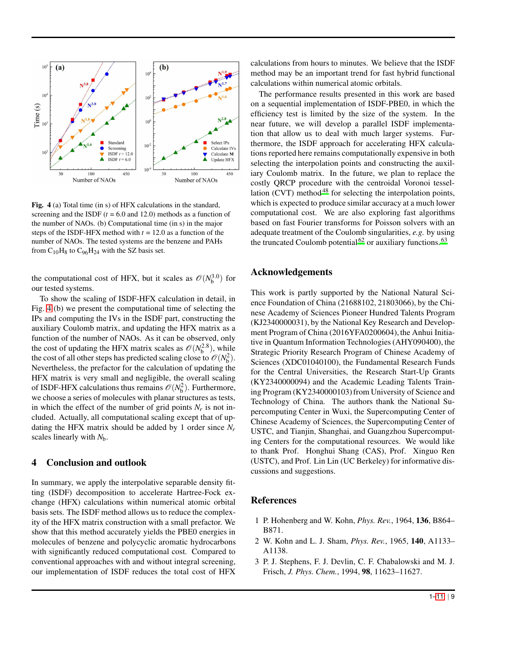<span id="page-8-4"></span>

Fig. 4 (a) Total time (in s) of HFX calculations in the standard, screening and the ISDF  $(t = 6.0$  and 12.0) methods as a function of the number of NAOs. (b) Computational time (in s) in the major steps of the ISDF-HFX method with  $t = 12.0$  as a function of the number of NAOs. The tested systems are the benzene and PAHs from  $C_{10}H_8$  to  $C_{96}H_{24}$  with the SZ basis set.

the computational cost of HFX, but it scales as  $\mathcal{O}(N_b^{3.0})$  for our tested systems.

To show the scaling of ISDF-HFX calculation in detail, in Fig. [4](#page-8-4) (b) we present the computational time of selecting the IPs and computing the IVs in the ISDF part, constructing the auxiliary Coulomb matrix, and updating the HFX matrix as a function of the number of NAOs. As it can be observed, only the cost of updating the HFX matrix scales as  $\mathcal{O}(N_b^{2.8})$ , while the cost of all other steps has predicted scaling close to  $\mathcal{O}(N_b^2)$ . Nevertheless, the prefactor for the calculation of updating the HFX matrix is very small and negligible, the overall scaling of ISDF-HFX calculations thus remains  $\mathcal{O}(N_b^2)$ . Furthermore, we choose a series of molecules with planar structures as tests, in which the effect of the number of grid points  $N_r$  is not included. Actually, all computational scaling except that of updating the HFX matrix should be added by 1 order since *N<sup>r</sup>* scales linearly with *N*b.

## <span id="page-8-3"></span>4 Conclusion and outlook

In summary, we apply the interpolative separable density fitting (ISDF) decomposition to accelerate Hartree-Fock exchange (HFX) calculations within numerical atomic orbital basis sets. The ISDF method allows us to reduce the complexity of the HFX matrix construction with a small prefactor. We show that this method accurately yields the PBE0 energies in molecules of benzene and polycyclic aromatic hydrocarbons with significantly reduced computational cost. Compared to conventional approaches with and without integral screening, our implementation of ISDF reduces the total cost of HFX

calculations from hours to minutes. We believe that the ISDF method may be an important trend for fast hybrid functional calculations within numerical atomic orbitals.

The performance results presented in this work are based on a sequential implementation of ISDF-PBE0, in which the efficiency test is limited by the size of the system. In the near future, we will develop a parallel ISDF implementation that allow us to deal with much larger systems. Furthermore, the ISDF approach for accelerating HFX calculations reported here remains computationally expensive in both selecting the interpolation points and constructing the auxiliary Coulomb matrix. In the future, we plan to replace the costly QRCP procedure with the centroidal Voronoi tessel-lation (CVT) method<sup>[48](#page-9-35)</sup> for selecting the interpolation points, which is expected to produce similar accuracy at a much lower computational cost. We are also exploring fast algorithms based on fast Fourier transforms for Poisson solvers with an adequate treatment of the Coulomb singularities, *e.g.* by using the truncated Coulomb potential  $62$  or auxiliary functions.  $63$ 

# Acknowledgements

This work is partly supported by the National Natural Science Foundation of China (21688102, 21803066), by the Chinese Academy of Sciences Pioneer Hundred Talents Program (KJ2340000031), by the National Key Research and Development Program of China (2016YFA0200604), the Anhui Initiative in Quantum Information Technologies (AHY090400), the Strategic Priority Research Program of Chinese Academy of Sciences (XDC01040100), the Fundamental Research Funds for the Central Universities, the Research Start-Up Grants (KY2340000094) and the Academic Leading Talents Training Program (KY2340000103) from University of Science and Technology of China. The authors thank the National Supercomputing Center in Wuxi, the Supercomputing Center of Chinese Academy of Sciences, the Supercomputing Center of USTC, and Tianjin, Shanghai, and Guangzhou Supercomputing Centers for the computational resources. We would like to thank Prof. Honghui Shang (CAS), Prof. Xinguo Ren (USTC), and Prof. Lin Lin (UC Berkeley) for informative discussions and suggestions.

# References

- <span id="page-8-0"></span>1 P. Hohenberg and W. Kohn, *Phys. Rev.*, 1964, 136, B864– B871.
- <span id="page-8-1"></span>2 W. Kohn and L. J. Sham, *Phys. Rev.*, 1965, 140, A1133– A1138.
- <span id="page-8-2"></span>3 P. J. Stephens, F. J. Devlin, C. F. Chabalowski and M. J. Frisch, *J. Phys. Chem.*, 1994, 98, 11623–11627.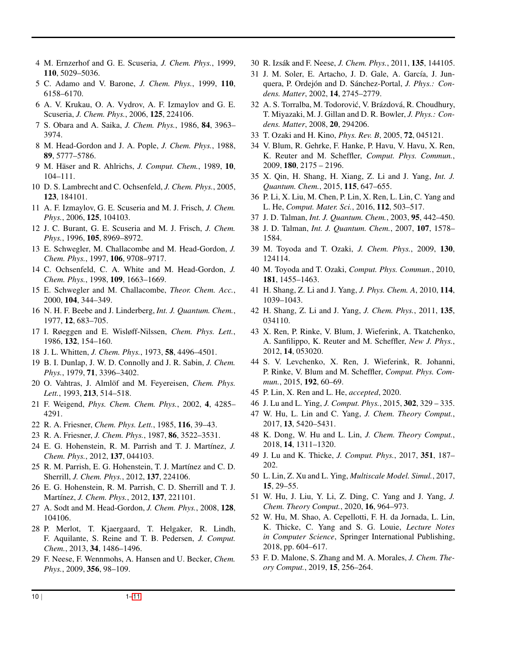- <span id="page-9-0"></span>4 M. Ernzerhof and G. E. Scuseria, *J. Chem. Phys.*, 1999, 110, 5029–5036.
- <span id="page-9-1"></span>5 C. Adamo and V. Barone, *J. Chem. Phys.*, 1999, 110, 6158–6170.
- <span id="page-9-2"></span>6 A. V. Krukau, O. A. Vydrov, A. F. Izmaylov and G. E. Scuseria, *J. Chem. Phys.*, 2006, 125, 224106.
- <span id="page-9-3"></span>7 S. Obara and A. Saika, *J. Chem. Phys.*, 1986, 84, 3963– 3974.
- <span id="page-9-4"></span>8 M. Head-Gordon and J. A. Pople, *J. Chem. Phys.*, 1988, 89, 5777–5786.
- <span id="page-9-5"></span>9 M. H¨aser and R. Ahlrichs, *J. Comput. Chem.*, 1989, 10, 104–111.
- 10 D. S. Lambrecht and C. Ochsenfeld, *J. Chem. Phys.*, 2005, 123, 184101.
- <span id="page-9-6"></span>11 A. F. Izmaylov, G. E. Scuseria and M. J. Frisch, *J. Chem. Phys.*, 2006, 125, 104103.
- <span id="page-9-7"></span>12 J. C. Burant, G. E. Scuseria and M. J. Frisch, *J. Chem. Phys.*, 1996, 105, 8969–8972.
- 13 E. Schwegler, M. Challacombe and M. Head-Gordon, *J. Chem. Phys.*, 1997, 106, 9708–9717.
- 14 C. Ochsenfeld, C. A. White and M. Head-Gordon, *J. Chem. Phys.*, 1998, 109, 1663–1669.
- <span id="page-9-8"></span>15 E. Schwegler and M. Challacombe, *Theor. Chem. Acc.*, 2000, 104, 344–349.
- <span id="page-9-9"></span>16 N. H. F. Beebe and J. Linderberg, *Int. J. Quantum. Chem.*, 1977, 12, 683–705.
- <span id="page-9-10"></span>17 I. Røeggen and E. Wisløff-Nilssen, *Chem. Phys. Lett.*, 1986, 132, 154–160.
- <span id="page-9-11"></span>18 J. L. Whitten, *J. Chem. Phys.*, 1973, 58, 4496–4501.
- 19 B. I. Dunlap, J. W. D. Connolly and J. R. Sabin, *J. Chem. Phys.*, 1979, 71, 3396–3402.
- 20 O. Vahtras, J. Almlöf and M. Feyereisen, *Chem. Phys. Lett.*, 1993, 213, 514–518.
- <span id="page-9-12"></span>21 F. Weigend, *Phys. Chem. Chem. Phys.*, 2002, 4, 4285– 4291.
- <span id="page-9-13"></span>22 R. A. Friesner, *Chem. Phys. Lett.*, 1985, 116, 39–43.
- <span id="page-9-14"></span>23 R. A. Friesner, *J. Chem. Phys.*, 1987, 86, 3522–3531.
- <span id="page-9-15"></span>24 E. G. Hohenstein, R. M. Parrish and T. J. Martínez, J. *Chem. Phys.*, 2012, 137, 044103.
- 25 R. M. Parrish, E. G. Hohenstein, T. J. Martínez and C. D. Sherrill, *J. Chem. Phys.*, 2012, 137, 224106.
- <span id="page-9-16"></span>26 E. G. Hohenstein, R. M. Parrish, C. D. Sherrill and T. J. Martínez, *J. Chem. Phys.*, 2012, 137, 221101.
- <span id="page-9-17"></span>27 A. Sodt and M. Head-Gordon, *J. Chem. Phys.*, 2008, 128, 104106.
- <span id="page-9-18"></span>28 P. Merlot, T. Kjaergaard, T. Helgaker, R. Lindh, F. Aquilante, S. Reine and T. B. Pedersen, *J. Comput. Chem.*, 2013, 34, 1486–1496.
- <span id="page-9-19"></span>29 F. Neese, F. Wennmohs, A. Hansen and U. Becker, *Chem. Phys.*, 2009, 356, 98–109.
- <span id="page-9-20"></span>30 R. Izs´ak and F. Neese, *J. Chem. Phys.*, 2011, 135, 144105.
- <span id="page-9-21"></span>31 J. M. Soler, E. Artacho, J. D. Gale, A. García, J. Junquera, P. Ordejón and D. Sánchez-Portal, *J. Phys.: Condens. Matter*, 2002, 14, 2745–2779.
- <span id="page-9-22"></span>32 A. S. Torralba, M. Todorović, V. Brázdová, R. Choudhury, T. Miyazaki, M. J. Gillan and D. R. Bowler, *J. Phys.: Condens. Matter*, 2008, 20, 294206.
- <span id="page-9-23"></span>33 T. Ozaki and H. Kino, *Phys. Rev. B*, 2005, 72, 045121.
- <span id="page-9-24"></span>34 V. Blum, R. Gehrke, F. Hanke, P. Havu, V. Havu, X. Ren, K. Reuter and M. Scheffler, *Comput. Phys. Commun.*, 2009, 180, 2175 – 2196.
- <span id="page-9-25"></span>35 X. Qin, H. Shang, H. Xiang, Z. Li and J. Yang, *Int. J. Quantum. Chem.*, 2015, 115, 647–655.
- <span id="page-9-26"></span>36 P. Li, X. Liu, M. Chen, P. Lin, X. Ren, L. Lin, C. Yang and L. He, *Comput. Mater. Sci.*, 2016, 112, 503–517.
- <span id="page-9-27"></span>37 J. D. Talman, *Int. J. Quantum. Chem.*, 2003, 95, 442–450.
- 38 J. D. Talman, *Int. J. Quantum. Chem.*, 2007, 107, 1578– 1584.
- 39 M. Toyoda and T. Ozaki, *J. Chem. Phys.*, 2009, 130, 124114.
- 40 M. Toyoda and T. Ozaki, *Comput. Phys. Commun.*, 2010, 181, 1455–1463.
- <span id="page-9-28"></span>41 H. Shang, Z. Li and J. Yang, *J. Phys. Chem. A*, 2010, 114, 1039–1043.
- <span id="page-9-29"></span>42 H. Shang, Z. Li and J. Yang, *J. Chem. Phys.*, 2011, 135, 034110.
- <span id="page-9-30"></span>43 X. Ren, P. Rinke, V. Blum, J. Wieferink, A. Tkatchenko, A. Sanfilippo, K. Reuter and M. Scheffler, *New J. Phys.*, 2012, 14, 053020.
- <span id="page-9-31"></span>44 S. V. Levchenko, X. Ren, J. Wieferink, R. Johanni, P. Rinke, V. Blum and M. Scheffler, *Comput. Phys. Commun.*, 2015, 192, 60–69.
- <span id="page-9-32"></span>45 P. Lin, X. Ren and L. He, *accepted*, 2020.
- <span id="page-9-33"></span>46 J. Lu and L. Ying, *J. Comput. Phys.*, 2015, 302, 329 – 335.
- <span id="page-9-34"></span>47 W. Hu, L. Lin and C. Yang, *J. Chem. Theory Comput.*, 2017, 13, 5420–5431.
- <span id="page-9-35"></span>48 K. Dong, W. Hu and L. Lin, *J. Chem. Theory Comput.*, 2018, 14, 1311–1320.
- <span id="page-9-36"></span>49 J. Lu and K. Thicke, *J. Comput. Phys.*, 2017, 351, 187– 202.
- <span id="page-9-37"></span>50 L. Lin, Z. Xu and L. Ying, *Multiscale Model. Simul.*, 2017, 15, 29–55.
- <span id="page-9-38"></span>51 W. Hu, J. Liu, Y. Li, Z. Ding, C. Yang and J. Yang, *J. Chem. Theory Comput.*, 2020, 16, 964–973.
- <span id="page-9-39"></span>52 W. Hu, M. Shao, A. Cepellotti, F. H. da Jornada, L. Lin, K. Thicke, C. Yang and S. G. Louie, *Lecture Notes in Computer Science*, Springer International Publishing, 2018, pp. 604–617.
- <span id="page-9-40"></span>53 F. D. Malone, S. Zhang and M. A. Morales, *J. Chem. Theory Comput.*, 2019, 15, 256–264.